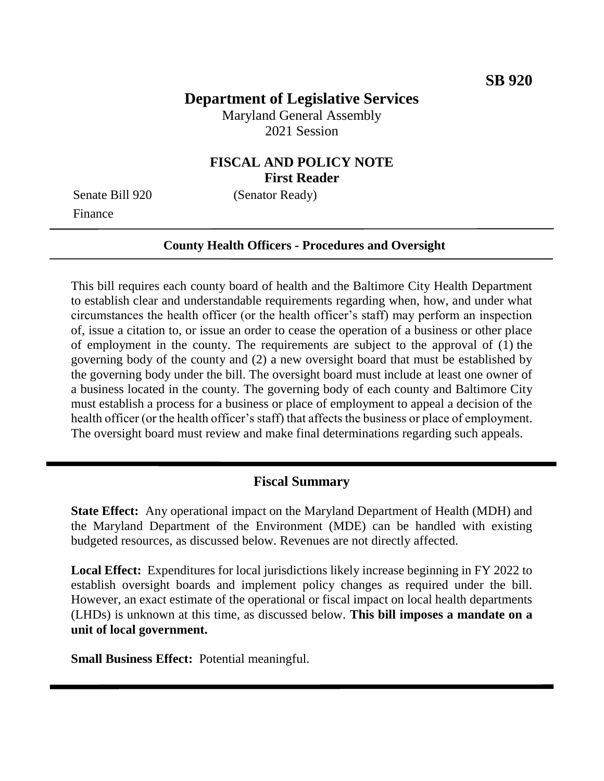# **Department of Legislative Services**

Maryland General Assembly 2021 Session

### **FISCAL AND POLICY NOTE First Reader**

Finance

Senate Bill 920 (Senator Ready)

#### **County Health Officers - Procedures and Oversight**

This bill requires each county board of health and the Baltimore City Health Department to establish clear and understandable requirements regarding when, how, and under what circumstances the health officer (or the health officer's staff) may perform an inspection of, issue a citation to, or issue an order to cease the operation of a business or other place of employment in the county. The requirements are subject to the approval of (1) the governing body of the county and (2) a new oversight board that must be established by the governing body under the bill. The oversight board must include at least one owner of a business located in the county. The governing body of each county and Baltimore City must establish a process for a business or place of employment to appeal a decision of the health officer (or the health officer's staff) that affects the business or place of employment. The oversight board must review and make final determinations regarding such appeals.

#### **Fiscal Summary**

**State Effect:** Any operational impact on the Maryland Department of Health (MDH) and the Maryland Department of the Environment (MDE) can be handled with existing budgeted resources, as discussed below. Revenues are not directly affected.

**Local Effect:** Expenditures for local jurisdictions likely increase beginning in FY 2022 to establish oversight boards and implement policy changes as required under the bill. However, an exact estimate of the operational or fiscal impact on local health departments (LHDs) is unknown at this time, as discussed below. **This bill imposes a mandate on a unit of local government.**

**Small Business Effect:** Potential meaningful.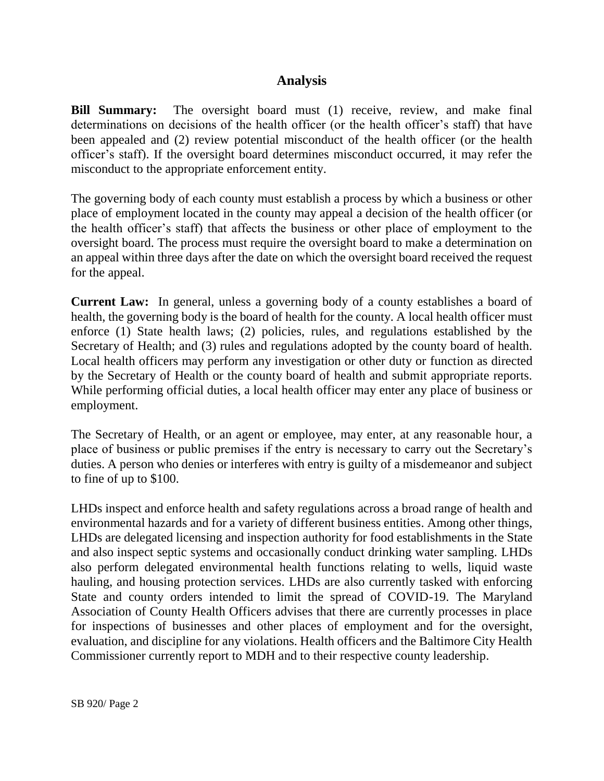## **Analysis**

**Bill Summary:** The oversight board must (1) receive, review, and make final determinations on decisions of the health officer (or the health officer's staff) that have been appealed and (2) review potential misconduct of the health officer (or the health officer's staff). If the oversight board determines misconduct occurred, it may refer the misconduct to the appropriate enforcement entity.

The governing body of each county must establish a process by which a business or other place of employment located in the county may appeal a decision of the health officer (or the health officer's staff) that affects the business or other place of employment to the oversight board. The process must require the oversight board to make a determination on an appeal within three days after the date on which the oversight board received the request for the appeal.

**Current Law:** In general, unless a governing body of a county establishes a board of health, the governing body is the board of health for the county. A local health officer must enforce (1) State health laws; (2) policies, rules, and regulations established by the Secretary of Health; and (3) rules and regulations adopted by the county board of health. Local health officers may perform any investigation or other duty or function as directed by the Secretary of Health or the county board of health and submit appropriate reports. While performing official duties, a local health officer may enter any place of business or employment.

The Secretary of Health, or an agent or employee, may enter, at any reasonable hour, a place of business or public premises if the entry is necessary to carry out the Secretary's duties. A person who denies or interferes with entry is guilty of a misdemeanor and subject to fine of up to \$100.

LHDs inspect and enforce health and safety regulations across a broad range of health and environmental hazards and for a variety of different business entities. Among other things, LHDs are delegated licensing and inspection authority for food establishments in the State and also inspect septic systems and occasionally conduct drinking water sampling. LHDs also perform delegated environmental health functions relating to wells, liquid waste hauling, and housing protection services. LHDs are also currently tasked with enforcing State and county orders intended to limit the spread of COVID-19. The Maryland Association of County Health Officers advises that there are currently processes in place for inspections of businesses and other places of employment and for the oversight, evaluation, and discipline for any violations. Health officers and the Baltimore City Health Commissioner currently report to MDH and to their respective county leadership.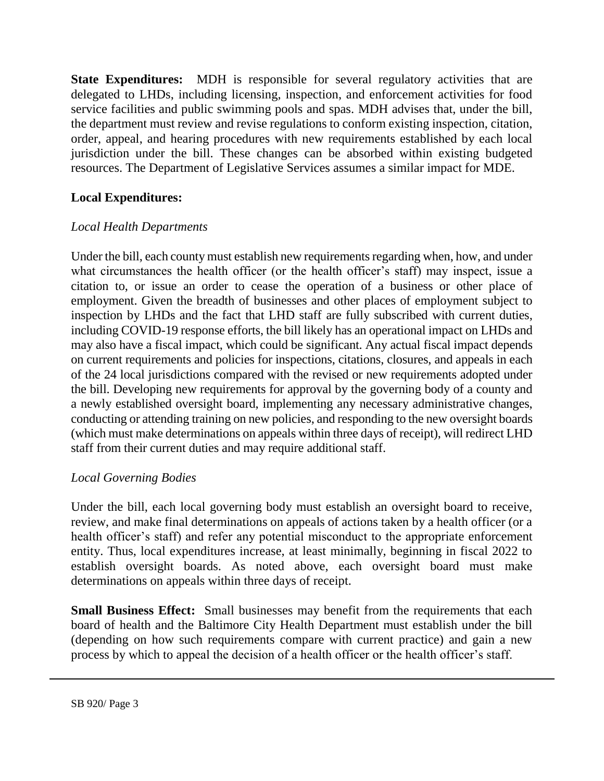**State Expenditures:** MDH is responsible for several regulatory activities that are delegated to LHDs, including licensing, inspection, and enforcement activities for food service facilities and public swimming pools and spas. MDH advises that, under the bill, the department must review and revise regulations to conform existing inspection, citation, order, appeal, and hearing procedures with new requirements established by each local jurisdiction under the bill. These changes can be absorbed within existing budgeted resources. The Department of Legislative Services assumes a similar impact for MDE.

### **Local Expenditures:**

### *Local Health Departments*

Under the bill, each county must establish new requirements regarding when, how, and under what circumstances the health officer (or the health officer's staff) may inspect, issue a citation to, or issue an order to cease the operation of a business or other place of employment. Given the breadth of businesses and other places of employment subject to inspection by LHDs and the fact that LHD staff are fully subscribed with current duties, including COVID-19 response efforts, the bill likely has an operational impact on LHDs and may also have a fiscal impact, which could be significant. Any actual fiscal impact depends on current requirements and policies for inspections, citations, closures, and appeals in each of the 24 local jurisdictions compared with the revised or new requirements adopted under the bill. Developing new requirements for approval by the governing body of a county and a newly established oversight board, implementing any necessary administrative changes, conducting or attending training on new policies, and responding to the new oversight boards (which must make determinations on appeals within three days of receipt), will redirect LHD staff from their current duties and may require additional staff.

#### *Local Governing Bodies*

Under the bill, each local governing body must establish an oversight board to receive, review, and make final determinations on appeals of actions taken by a health officer (or a health officer's staff) and refer any potential misconduct to the appropriate enforcement entity. Thus, local expenditures increase, at least minimally, beginning in fiscal 2022 to establish oversight boards. As noted above, each oversight board must make determinations on appeals within three days of receipt.

**Small Business Effect:** Small businesses may benefit from the requirements that each board of health and the Baltimore City Health Department must establish under the bill (depending on how such requirements compare with current practice) and gain a new process by which to appeal the decision of a health officer or the health officer's staff.